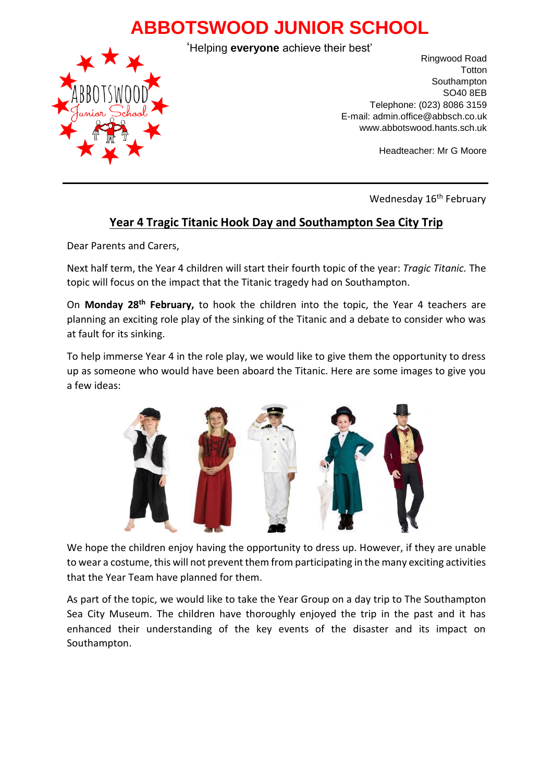## **ABBOTSWOOD JUNIOR SCHOOL**



'Helping **everyone** achieve their best'

Ringwood Road **Totton** Southampton SO40 8EB Telephone: (023) 8086 3159 E-mail: admin.office@abbsch.co.uk www.abbotswood.hants.sch.uk

Headteacher: Mr G Moore

Wednesday 16<sup>th</sup> February

## **Year 4 Tragic Titanic Hook Day and Southampton Sea City Trip**

Dear Parents and Carers,

Next half term, the Year 4 children will start their fourth topic of the year: *Tragic Titanic*. The topic will focus on the impact that the Titanic tragedy had on Southampton.

On **Monday 28th February,** to hook the children into the topic, the Year 4 teachers are planning an exciting role play of the sinking of the Titanic and a debate to consider who was at fault for its sinking.

To help immerse Year 4 in the role play, we would like to give them the opportunity to dress up as someone who would have been aboard the Titanic. Here are some images to give you a few ideas:



We hope the children enjoy having the opportunity to dress up. However, if they are unable to wear a costume, this will not prevent them from participating in the many exciting activities that the Year Team have planned for them.

As part of the topic, we would like to take the Year Group on a day trip to The Southampton Sea City Museum. The children have thoroughly enjoyed the trip in the past and it has enhanced their understanding of the key events of the disaster and its impact on Southampton.